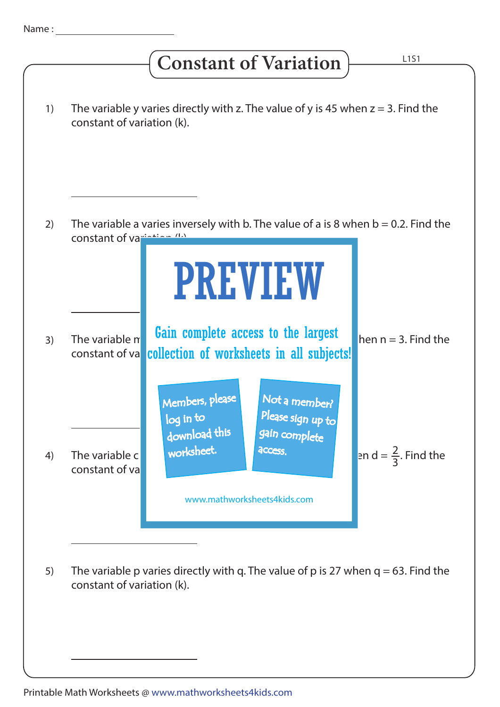## **Constant of Variation**

| 1) | The variable y varies directly with z. The value of y is 45 when $z = 3$ . Find the<br>constant of variation (k).                                                                                                                   |
|----|-------------------------------------------------------------------------------------------------------------------------------------------------------------------------------------------------------------------------------------|
|    |                                                                                                                                                                                                                                     |
| 2) | The variable a varies inversely with b. The value of a is 8 when $b = 0.2$ . Find the<br>constant of variation (IA)                                                                                                                 |
|    | <b>PREVIEW</b>                                                                                                                                                                                                                      |
| 3) | Gain complete access to the largest<br>The variable n<br>hen $n = 3$ . Find the<br>collection of worksheets in all subjects!<br>constant of va                                                                                      |
| 4) | Members, please<br>Not a member?<br>Please sign up to<br>log in to<br>download this<br>gain complete<br>worksheet.<br>access.<br>en d = $\frac{2}{3}$ . Find the<br>The variable c<br>constant of va<br>www.mathworksheets4kids.com |
|    |                                                                                                                                                                                                                                     |
| 5) | The variable p varies directly with q. The value of p is 27 when $q = 63$ . Find the<br>constant of variation (k).                                                                                                                  |